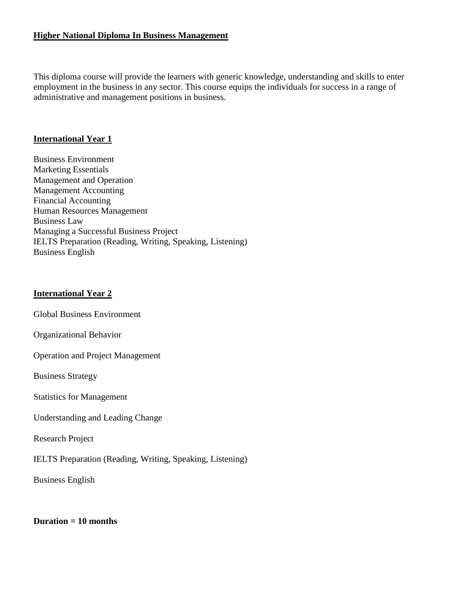### **Higher National Diploma In Business Management**

This diploma course will provide the learners with generic knowledge, understanding and skills to enter employment in the business in any sector. This course equips the individuals for success in a range of administrative and management positions in business.

# **International Year 1**

Business Environment Marketing Essentials Management and Operation Management Accounting Financial Accounting Human Resources Management Business Law Managing a Successful Business Project IELTS Preparation (Reading, Writing, Speaking, Listening) Business English

# **International Year 2**

Global Business Environment

Organizational Behavior

Operation and Project Management

Business Strategy

Statistics for Management

Understanding and Leading Change

Research Project

IELTS Preparation (Reading, Writing, Speaking, Listening)

Business English

### **Duration = 10 months**